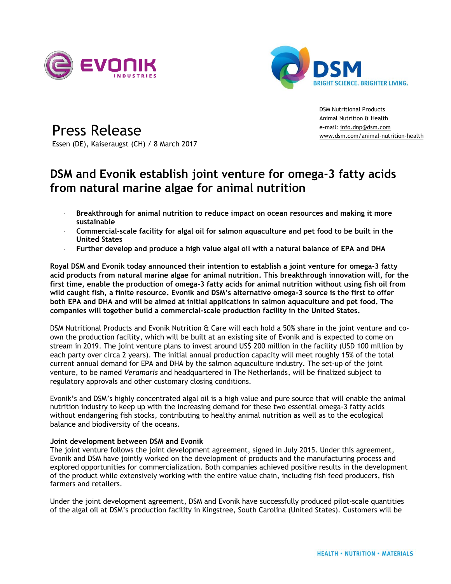



Press Release Essen (DE), Kaiseraugst (CH) / 8 March 2017

DSM Nutritional Products Animal Nutrition & Health e-mail: [info.dnp@dsm.com](mailto:media.contacts@dsm.com) [www.dsm.com/](http://www.dsm.com/)animal-nutrition-health

# **DSM and Evonik establish joint venture for omega-3 fatty acids from natural marine algae for animal nutrition**

- **Breakthrough for animal nutrition to reduce impact on ocean resources and making it more sustainable**
- **Commercial-scale facility for algal oil for salmon aquaculture and pet food to be built in the United States**
- **Further develop and produce a high value algal oil with a natural balance of EPA and DHA**

**Royal DSM and Evonik today announced their intention to establish a joint venture for omega-3 fatty acid products from natural marine algae for animal nutrition. This breakthrough innovation will, for the first time, enable the production of omega-3 fatty acids for animal nutrition without using fish oil from wild caught fish, a finite resource. Evonik and DSM's alternative omega-3 source is the first to offer both EPA and DHA and will be aimed at initial applications in salmon aquaculture and pet food. The companies will together build a commercial-scale production facility in the United States.**

DSM Nutritional Products and Evonik Nutrition & Care will each hold a 50% share in the joint venture and coown the production facility, which will be built at an existing site of Evonik and is expected to come on stream in 2019. The joint venture plans to invest around US\$ 200 million in the facility (USD 100 million by each party over circa 2 years). The initial annual production capacity will meet roughly 15% of the total current annual demand for EPA and DHA by the salmon aquaculture industry. The set-up of the joint venture, to be named *Veramaris* and headquartered in The Netherlands, will be finalized subject to regulatory approvals and other customary closing conditions.

Evonik's and DSM's highly concentrated algal oil is a high value and pure source that will enable the animal nutrition industry to keep up with the increasing demand for these two essential omega-3 fatty acids without endangering fish stocks, contributing to healthy animal nutrition as well as to the ecological balance and biodiversity of the oceans.

## **Joint development between DSM and Evonik**

The joint venture follows the joint development agreement, signed in July 2015. Under this agreement, Evonik and DSM have jointly worked on the development of products and the manufacturing process and explored opportunities for commercialization. Both companies achieved positive results in the development of the product while extensively working with the entire value chain, including fish feed producers, fish farmers and retailers.

Under the joint development agreement, DSM and Evonik have successfully produced pilot-scale quantities of the algal oil at DSM's production facility in Kingstree, South Carolina (United States). Customers will be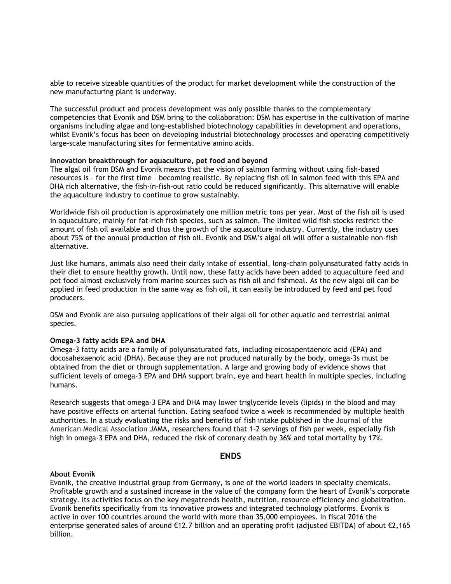able to receive sizeable quantities of the product for market development while the construction of the new manufacturing plant is underway.

The successful product and process development was only possible thanks to the complementary competencies that Evonik and DSM bring to the collaboration: DSM has expertise in the cultivation of marine organisms including algae and long-established biotechnology capabilities in development and operations, whilst Evonik's focus has been on developing industrial biotechnology processes and operating competitively large-scale manufacturing sites for fermentative amino acids.

## **Innovation breakthrough for aquaculture, pet food and beyond**

The algal oil from DSM and Evonik means that the vision of salmon farming without using fish-based resources is – for the first time – becoming realistic. By replacing fish oil in salmon feed with this EPA and DHA rich alternative, the fish-in-fish-out ratio could be reduced significantly. This alternative will enable the aquaculture industry to continue to grow sustainably.

Worldwide fish oil production is approximately one million metric tons per year. Most of the fish oil is used in aquaculture, mainly for fat-rich fish species, such as salmon. The limited wild fish stocks restrict the amount of fish oil available and thus the growth of the aquaculture industry. Currently, the industry uses about 75% of the annual production of fish oil. Evonik and DSM's algal oil will offer a sustainable non-fish alternative.

Just like humans, animals also need their daily intake of essential, long-chain polyunsaturated fatty acids in their diet to ensure healthy growth. Until now, these fatty acids have been added to aquaculture feed and pet food almost exclusively from marine sources such as fish oil and fishmeal. As the new algal oil can be applied in feed production in the same way as fish oil, it can easily be introduced by feed and pet food producers.

DSM and Evonik are also pursuing applications of their algal oil for other aquatic and terrestrial animal species.

## **Omega-3 fatty acids EPA and DHA**

Omega-3 fatty acids are a family of polyunsaturated fats, including eicosapentaenoic acid (EPA) and docosahexaenoic acid (DHA). Because they are not produced naturally by the body, omega-3s must be obtained from the diet or through supplementation. A large and growing body of evidence shows that sufficient levels of omega-3 EPA and DHA support brain, eye and heart health in multiple species, including humans.

Research suggests that omega-3 EPA and DHA may lower triglyceride levels (lipids) in the blood and may have positive effects on arterial function. Eating seafood twice a week is recommended by multiple health authorities. In a study evaluating the risks and benefits of fish intake published in the Journal of the American Medical Association JAMA, researchers found that 1-2 servings of fish per week, especially fish high in omega-3 EPA and DHA, reduced the risk of coronary death by 36% and total mortality by 17%.

## **ENDS**

### **About Evonik**

Evonik, the creative industrial group from Germany, is one of the world leaders in specialty chemicals. Profitable growth and a sustained increase in the value of the company form the heart of Evonik's corporate strategy. Its activities focus on the key megatrends health, nutrition, resource efficiency and globalization. Evonik benefits specifically from its innovative prowess and integrated technology platforms. Evonik is active in over 100 countries around the world with more than 35,000 employees. In fiscal 2016 the enterprise generated sales of around €12.7 billion and an operating profit (adjusted EBITDA) of about €2,165 billion.